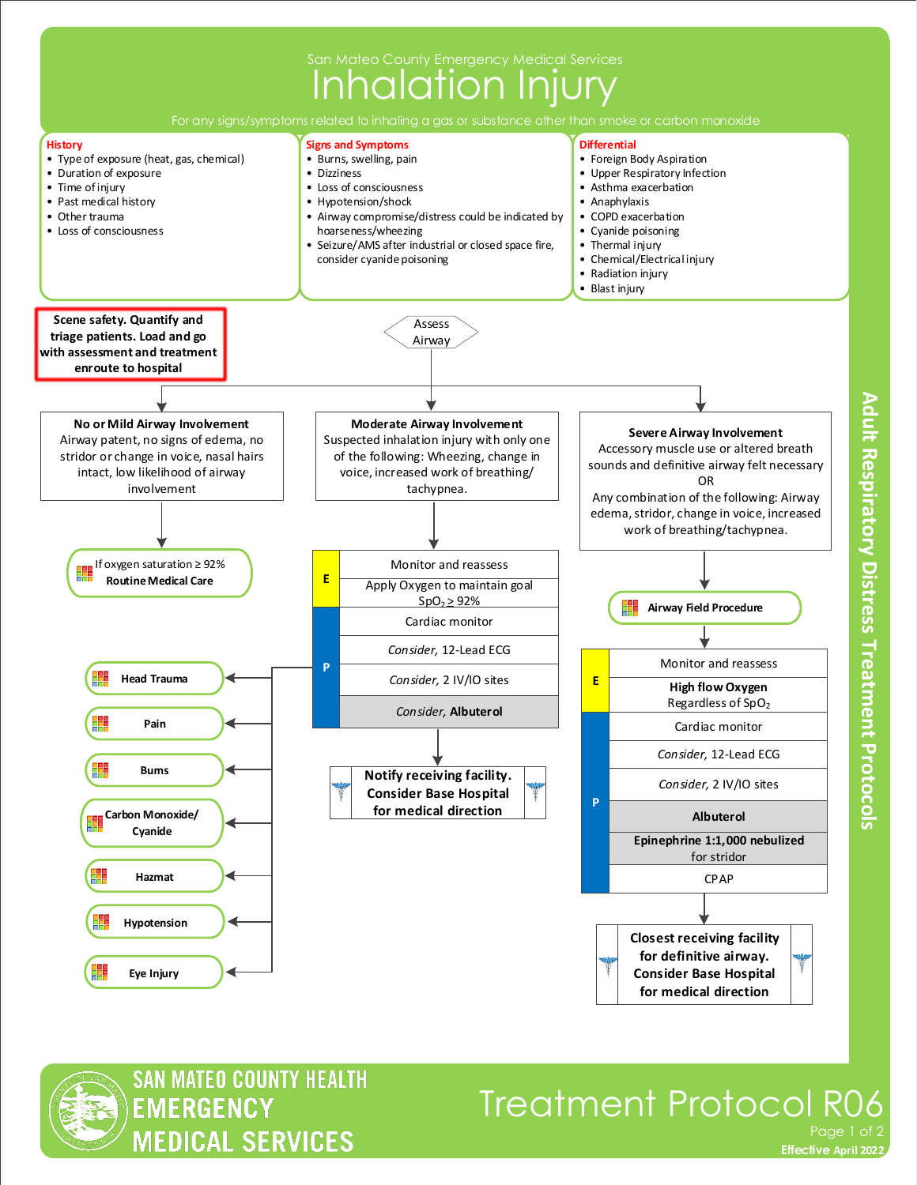

**SAN MATEO COUNTY HEALTH EMERGENCY MEDICAL SERVICES** 

## Treatment Protocol R06 Page 1 of 2

Adult Respiratory Distress Treatment Protocols

**Effective November 2018 Effective April 2022**